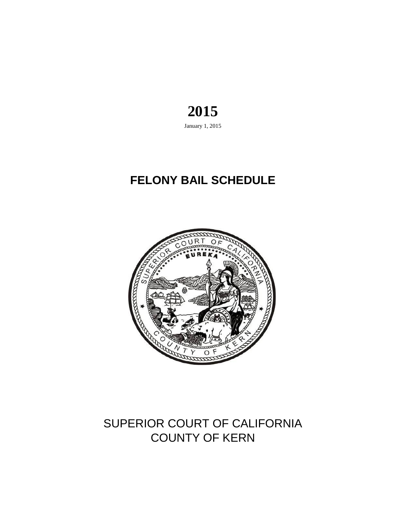### **2015** January 1, 2015

# **FELONY BAIL SCHEDULE**



## COUNTY OF KERN SUPERIOR COURT OF CALIFORNIA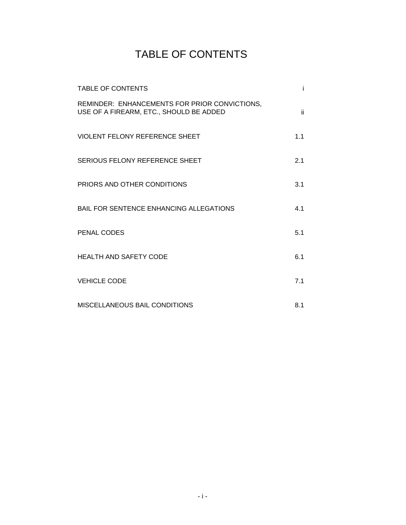## TABLE OF CONTENTS

| <b>TABLE OF CONTENTS</b>                                                                 |     |
|------------------------------------------------------------------------------------------|-----|
| REMINDER: ENHANCEMENTS FOR PRIOR CONVICTIONS,<br>USE OF A FIREARM, ETC., SHOULD BE ADDED | ii. |
| VIOLENT FELONY REFERENCE SHEET                                                           | 1.1 |
| SERIOUS FELONY REFERENCE SHEET                                                           | 2.1 |
| PRIORS AND OTHER CONDITIONS                                                              | 3.1 |
| <b>BAIL FOR SENTENCE ENHANCING ALLEGATIONS</b>                                           | 4.1 |
| PENAL CODES                                                                              | 5.1 |
| <b>HEALTH AND SAFETY CODE</b>                                                            | 6.1 |
| <b>VEHICLE CODE</b>                                                                      | 7.1 |
| MISCELLANEOUS BAIL CONDITIONS                                                            | 8.1 |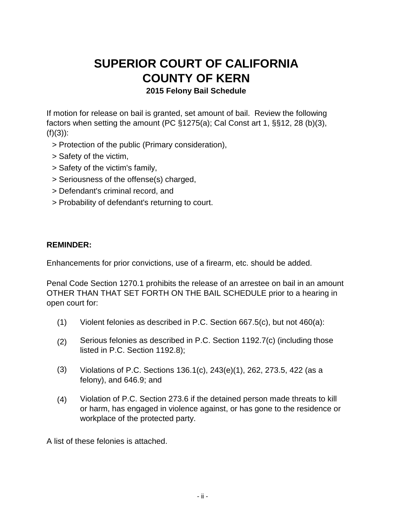### **SUPERIOR COURT OF CALIFORNIA COUNTY OF KERN 2015 Felony Bail Schedule**

If motion for release on bail is granted, set amount of bail. Review the following factors when setting the amount (PC §1275(a); Cal Const art 1, §§12, 28 (b)(3),  $(f)(3)$ :

- > Protection of the public (Primary consideration),
- > Safety of the victim,
- > Safety of the victim's family,
- > Seriousness of the offense(s) charged,
- > Defendant's criminal record, and
- > Probability of defendant's returning to court.

#### **REMINDER:**

Enhancements for prior convictions, use of a firearm, etc. should be added.

Penal Code Section 1270.1 prohibits the release of an arrestee on bail in an amount OTHER THAN THAT SET FORTH ON THE BAIL SCHEDULE prior to a hearing in open court for:

- (1) Violent felonies as described in P.C. Section 667.5(c), but not 460(a):
- (2) Serious felonies as described in P.C. Section 1192.7(c) (including those listed in P.C. Section 1192.8);
- (3) Violations of P.C. Sections 136.1(c), 243(e)(1), 262, 273.5, 422 (as a felony), and 646.9; and
- (4) Violation of P.C. Section 273.6 if the detained person made threats to kill or harm, has engaged in violence against, or has gone to the residence or workplace of the protected party.

A list of these felonies is attached.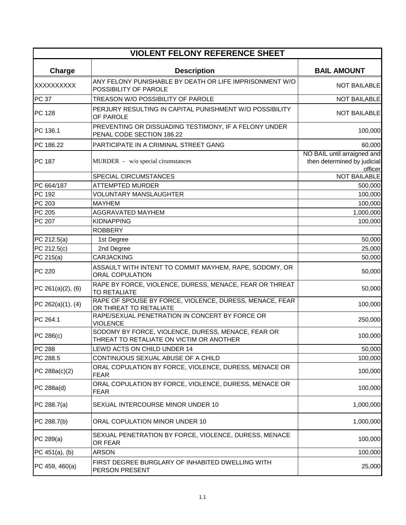| <b>VIOLENT FELONY REFERENCE SHEET</b> |                                                                                                |                                                                       |  |  |
|---------------------------------------|------------------------------------------------------------------------------------------------|-----------------------------------------------------------------------|--|--|
| Charge                                | <b>Description</b>                                                                             | <b>BAIL AMOUNT</b>                                                    |  |  |
| XXXXXXXXXX                            | ANY FELONY PUNISHABLE BY DEATH OR LIFE IMPRISONMENT W/O<br>POSSIBILITY OF PAROLE               | <b>NOT BAILABLE</b>                                                   |  |  |
| <b>PC 37</b>                          | TREASON W/O POSSIBILITY OF PAROLE                                                              | <b>NOT BAILABLE</b>                                                   |  |  |
| <b>PC 128</b>                         | PERJURY RESULTING IN CAPITAL PUNISHMENT W/O POSSIBILITY<br>OF PAROLE                           | <b>NOT BAILABLE</b>                                                   |  |  |
| PC 136.1                              | PREVENTING OR DISSUADING TESTIMONY, IF A FELONY UNDER<br>PENAL CODE SECTION 186.22             | 100,000                                                               |  |  |
| PC 186.22                             | PARTICIPATE IN A CRIMINAL STREET GANG                                                          | 60,000                                                                |  |  |
| PC 187                                | MURDER - w/o special cirumstances                                                              | NO BAIL until arraigned and<br>then determined by judicial<br>officer |  |  |
|                                       | SPECIAL CIRCUMSTANCES                                                                          | <b>NOT BAILABLE</b>                                                   |  |  |
| PC 664/187                            | <b>ATTEMPTED MURDER</b>                                                                        | 500,000                                                               |  |  |
| PC 192                                | <b>VOLUNTARY MANSLAUGHTER</b>                                                                  | 100,000                                                               |  |  |
| PC 203                                | <b>MAYHEM</b>                                                                                  | 100,000                                                               |  |  |
| PC 205                                | AGGRAVATED MAYHEM                                                                              | 1,000,000                                                             |  |  |
| PC 207                                | <b>KIDNAPPING</b>                                                                              | 100,000                                                               |  |  |
|                                       | <b>ROBBERY</b>                                                                                 |                                                                       |  |  |
| PC 212.5(a)                           | 1st Degree                                                                                     | 50,000                                                                |  |  |
| PC 212.5(c)                           | 2nd Degree                                                                                     | 25,000                                                                |  |  |
| PC 215(a)                             | <b>CARJACKING</b>                                                                              | 50,000                                                                |  |  |
| <b>PC 220</b>                         | ASSAULT WITH INTENT TO COMMIT MAYHEM, RAPE, SODOMY, OR<br><b>ORAL COPULATION</b>               | 50,000                                                                |  |  |
| PC 261(a)(2), (6)                     | RAPE BY FORCE, VIOLENCE, DURESS, MENACE, FEAR OR THREAT<br><b>TO RETALIATE</b>                 | 50,000                                                                |  |  |
| PC 262(a)(1), (4)                     | RAPE OF SPOUSE BY FORCE, VIOLENCE, DURESS, MENACE, FEAR<br>OR THREAT TO RETALIATE              | 100,000                                                               |  |  |
| PC 264.1                              | RAPE/SEXUAL PENETRATION IN CONCERT BY FORCE OR<br><b>VIOLENCE</b>                              | 250,000                                                               |  |  |
| PC 286(c)                             | SODOMY BY FORCE, VIOLENCE, DURESS, MENACE, FEAR OR<br>THREAT TO RETALIATE ON VICTIM OR ANOTHER | 100,000                                                               |  |  |
| <b>PC 288</b>                         | LEWD ACTS ON CHILD UNDER 14                                                                    | 50,000                                                                |  |  |
| PC 288.5                              | CONTINUOUS SEXUAL ABUSE OF A CHILD                                                             | 100,000                                                               |  |  |
| PC 288a(c)(2)                         | ORAL COPULATION BY FORCE, VIOLENCE, DURESS, MENACE OR<br><b>FEAR</b>                           | 100,000                                                               |  |  |
| PC 288a(d)                            | ORAL COPULATION BY FORCE, VIOLENCE, DURESS, MENACE OR<br>FEAR                                  | 100,000                                                               |  |  |
| PC 288.7(a)                           | SEXUAL INTERCOURSE MINOR UNDER 10                                                              | 1,000,000                                                             |  |  |
| PC 288.7(b)                           | ORAL COPULATION MINOR UNDER 10                                                                 | 1,000,000                                                             |  |  |
| PC 289(a)                             | SEXUAL PENETRATION BY FORCE, VIOLENCE, DURESS, MENACE<br>OR FEAR                               | 100,000                                                               |  |  |
| PC $451(a)$ , (b)                     | <b>ARSON</b>                                                                                   | 100,000                                                               |  |  |
| PC 459, 460(a)                        | FIRST DEGREE BURGLARY OF INHABITED DWELLING WITH<br>PERSON PRESENT                             | 25,000                                                                |  |  |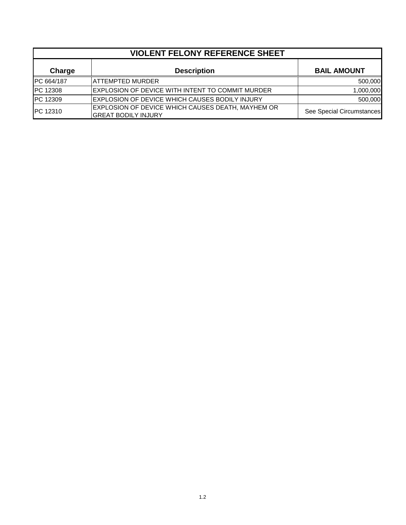|                   | <b>VIOLENT FELONY REFERENCE SHEET</b>                                           |                           |  |  |  |
|-------------------|---------------------------------------------------------------------------------|---------------------------|--|--|--|
| Charge            | <b>Description</b>                                                              | <b>BAIL AMOUNT</b>        |  |  |  |
| <b>PC 664/187</b> | <b>ATTEMPTED MURDER</b>                                                         | 500,000                   |  |  |  |
| <b>IPC 12308</b>  | EXPLOSION OF DEVICE WITH INTENT TO COMMIT MURDER                                | 1,000,000                 |  |  |  |
| <b>PC 12309</b>   | EXPLOSION OF DEVICE WHICH CAUSES BODILY INJURY                                  | 500,000                   |  |  |  |
| <b>IPC 12310</b>  | EXPLOSION OF DEVICE WHICH CAUSES DEATH, MAYHEM OR<br><b>GREAT BODILY INJURY</b> | See Special Circumstances |  |  |  |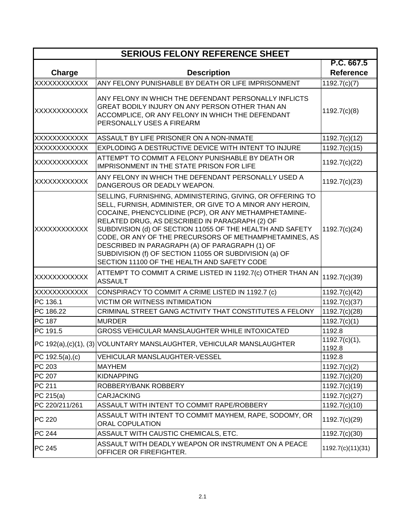| <b>SERIOUS FELONY REFERENCE SHEET</b> |                                                                                                                                                                                                                                                                                                                                                                                                                                                                                                                      |                         |  |
|---------------------------------------|----------------------------------------------------------------------------------------------------------------------------------------------------------------------------------------------------------------------------------------------------------------------------------------------------------------------------------------------------------------------------------------------------------------------------------------------------------------------------------------------------------------------|-------------------------|--|
|                                       |                                                                                                                                                                                                                                                                                                                                                                                                                                                                                                                      | P.C. 667.5              |  |
| <b>Charge</b>                         | <b>Description</b>                                                                                                                                                                                                                                                                                                                                                                                                                                                                                                   | <b>Reference</b>        |  |
| <b>XXXXXXXXXXX</b>                    | ANY FELONY PUNISHABLE BY DEATH OR LIFE IMPRISONMENT                                                                                                                                                                                                                                                                                                                                                                                                                                                                  | 1192.7(c)(7)            |  |
| <b>XXXXXXXXXXXX</b>                   | ANY FELONY IN WHICH THE DEFENDANT PERSONALLY INFLICTS<br>GREAT BODILY INJURY ON ANY PERSON OTHER THAN AN<br>ACCOMPLICE, OR ANY FELONY IN WHICH THE DEFENDANT<br>PERSONALLY USES A FIREARM                                                                                                                                                                                                                                                                                                                            | 1192.7(c)(8)            |  |
| XXXXXXXXXXX                           | ASSAULT BY LIFE PRISONER ON A NON-INMATE                                                                                                                                                                                                                                                                                                                                                                                                                                                                             | 1192.7(c)(12)           |  |
| <b>XXXXXXXXXXXX</b>                   | EXPLODING A DESTRUCTIVE DEVICE WITH INTENT TO INJURE                                                                                                                                                                                                                                                                                                                                                                                                                                                                 | 1192.7(c)(15)           |  |
| <b>XXXXXXXXXXXX</b>                   | ATTEMPT TO COMMIT A FELONY PUNISHABLE BY DEATH OR<br>IMPRISONMENT IN THE STATE PRISON FOR LIFE                                                                                                                                                                                                                                                                                                                                                                                                                       | 1192.7(c)(22)           |  |
| XXXXXXXXXXX                           | ANY FELONY IN WHICH THE DEFENDANT PERSONALLY USED A<br>DANGEROUS OR DEADLY WEAPON.                                                                                                                                                                                                                                                                                                                                                                                                                                   | 1192.7(c)(23)           |  |
| XXXXXXXXXXXX                          | SELLING, FURNISHING, ADMINISTERING, GIVING, OR OFFERING TO<br>SELL, FURNISH, ADMINISTER, OR GIVE TO A MINOR ANY HEROIN,<br>COCAINE, PHENCYCLIDINE (PCP), OR ANY METHAMPHETAMINE-<br>RELATED DRUG, AS DESCRIBED IN PARAGRAPH (2) OF<br>SUBDIVISION (d) OF SECTION 11055 OF THE HEALTH AND SAFETY<br>CODE, OR ANY OF THE PRECURSORS OF METHAMPHETAMINES, AS<br>DESCRIBED IN PARAGRAPH (A) OF PARAGRAPH (1) OF<br>SUBDIVISION (f) OF SECTION 11055 OR SUBDIVISION (a) OF<br>SECTION 11100 OF THE HEALTH AND SAFETY CODE | 1192.7(c)(24)           |  |
| <b>XXXXXXXXXXXX</b>                   | ATTEMPT TO COMMIT A CRIME LISTED IN 1192.7(c) OTHER THAN AN<br><b>ASSAULT</b>                                                                                                                                                                                                                                                                                                                                                                                                                                        | 1192.7(c)(39)           |  |
| XXXXXXXXXXX                           | CONSPIRACY TO COMMIT A CRIME LISTED IN 1192.7 (c)                                                                                                                                                                                                                                                                                                                                                                                                                                                                    | 1192.7(c)(42)           |  |
| PC 136.1                              | <b>VICTIM OR WITNESS INTIMIDATION</b>                                                                                                                                                                                                                                                                                                                                                                                                                                                                                | 1192.7(c)(37)           |  |
| PC 186.22                             | CRIMINAL STREET GANG ACTIVITY THAT CONSTITUTES A FELONY                                                                                                                                                                                                                                                                                                                                                                                                                                                              | 1192.7(c)(28)           |  |
| <b>PC 187</b>                         | <b>MURDER</b>                                                                                                                                                                                                                                                                                                                                                                                                                                                                                                        | 1192.7(c)(1)            |  |
| PC 191.5                              | GROSS VEHICULAR MANSLAUGHTER WHILE INTOXICATED                                                                                                                                                                                                                                                                                                                                                                                                                                                                       | 1192.8                  |  |
|                                       | PC 192(a),(c)(1), (3) VOLUNTARY MANSLAUGHTER, VEHICULAR MANSLAUGHTER                                                                                                                                                                                                                                                                                                                                                                                                                                                 | 1192.7(c)(1),<br>1192.8 |  |
| PC $192.5(a)$ , (c)                   | VEHICULAR MANSLAUGHTER-VESSEL                                                                                                                                                                                                                                                                                                                                                                                                                                                                                        | 1192.8                  |  |
| PC 203                                | <b>MAYHEM</b>                                                                                                                                                                                                                                                                                                                                                                                                                                                                                                        | 1192.7(c)(2)            |  |
| PC 207                                | <b>KIDNAPPING</b>                                                                                                                                                                                                                                                                                                                                                                                                                                                                                                    | 1192.7(c)(20)           |  |
| PC 211                                | ROBBERY/BANK ROBBERY                                                                                                                                                                                                                                                                                                                                                                                                                                                                                                 | 1192.7(c)(19)           |  |
| PC 215(a)                             | <b>CARJACKING</b>                                                                                                                                                                                                                                                                                                                                                                                                                                                                                                    | 1192.7(c)(27)           |  |
| PC 220/211/261                        | ASSAULT WITH INTENT TO COMMIT RAPE/ROBBERY                                                                                                                                                                                                                                                                                                                                                                                                                                                                           | 1192.7(c)(10)           |  |
| <b>PC 220</b>                         | ASSAULT WITH INTENT TO COMMIT MAYHEM, RAPE, SODOMY, OR<br><b>ORAL COPULATION</b>                                                                                                                                                                                                                                                                                                                                                                                                                                     | 1192.7(c)(29)           |  |
| <b>PC 244</b>                         | ASSAULT WITH CAUSTIC CHEMICALS, ETC.                                                                                                                                                                                                                                                                                                                                                                                                                                                                                 | 1192.7(c)(30)           |  |
| <b>PC 245</b>                         | ASSAULT WITH DEADLY WEAPON OR INSTRUMENT ON A PEACE<br>OFFICER OR FIREFIGHTER.                                                                                                                                                                                                                                                                                                                                                                                                                                       | 1192.7(c)(11)(31)       |  |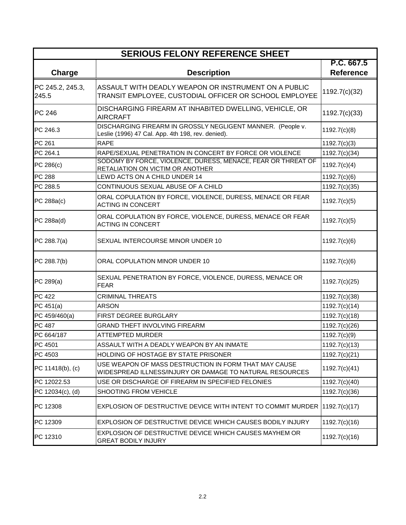| <b>SERIOUS FELONY REFERENCE SHEET</b> |                                                                                                                   |                                |  |  |
|---------------------------------------|-------------------------------------------------------------------------------------------------------------------|--------------------------------|--|--|
| Charge                                | <b>Description</b>                                                                                                | P.C. 667.5<br><b>Reference</b> |  |  |
| PC 245.2, 245.3,<br>245.5             | ASSAULT WITH DEADLY WEAPON OR INSTRUMENT ON A PUBLIC<br>TRANSIT EMPLOYEE, CUSTODIAL OFFICER OR SCHOOL EMPLOYEE    | 1192.7(c)(32)                  |  |  |
| <b>PC 246</b>                         | DISCHARGING FIREARM AT INHABITED DWELLING, VEHICLE, OR<br><b>AIRCRAFT</b>                                         | 1192.7(c)(33)                  |  |  |
| PC 246.3                              | DISCHARGING FIREARM IN GROSSLY NEGLIGENT MANNER. (People v.<br>Leslie (1996) 47 Cal. App. 4th 198, rev. denied).  | 1192.7(c)(8)                   |  |  |
| PC 261                                | <b>RAPE</b>                                                                                                       | 1192.7(c)(3)                   |  |  |
| PC 264.1                              | RAPE/SEXUAL PENETRATION IN CONCERT BY FORCE OR VIOLENCE                                                           | 1192.7(c)(34)                  |  |  |
| PC 286(c)                             | SODOMY BY FORCE, VIOLENCE, DURESS, MENACE, FEAR OR THREAT OF<br>RETALIATION ON VICTIM OR ANOTHER                  | 1192.7(c)(4)                   |  |  |
| <b>PC 288</b>                         | LEWD ACTS ON A CHILD UNDER 14                                                                                     | 1192.7(c)(6)                   |  |  |
| PC 288.5                              | CONTINUOUS SEXUAL ABUSE OF A CHILD                                                                                | 1192.7(c)(35)                  |  |  |
| PC 288a(c)                            | ORAL COPULATION BY FORCE, VIOLENCE, DURESS, MENACE OR FEAR<br><b>ACTING IN CONCERT</b>                            | 1192.7(c)(5)                   |  |  |
| PC 288a(d)                            | ORAL COPULATION BY FORCE, VIOLENCE, DURESS, MENACE OR FEAR<br><b>ACTING IN CONCERT</b>                            | 1192.7(c)(5)                   |  |  |
| PC 288.7(a)                           | SEXUAL INTERCOURSE MINOR UNDER 10                                                                                 | 1192.7(c)(6)                   |  |  |
| PC 288.7(b)                           | ORAL COPULATION MINOR UNDER 10                                                                                    | 1192.7(c)(6)                   |  |  |
| PC 289(a)                             | SEXUAL PENETRATION BY FORCE, VIOLENCE, DURESS, MENACE OR<br><b>FEAR</b>                                           | 1192.7(c)(25)                  |  |  |
| <b>PC 422</b>                         | <b>CRIMINAL THREATS</b>                                                                                           | 1192.7(c)(38)                  |  |  |
| PC 451(a)                             | <b>ARSON</b>                                                                                                      | 1192.7(c)(14)                  |  |  |
| PC 459/460(a)                         | FIRST DEGREE BURGLARY                                                                                             | 1192.7(c)(18)                  |  |  |
| PC 487                                | <b>GRAND THEFT INVOLVING FIREARM</b>                                                                              | 1192.7(c)(26)                  |  |  |
| PC 664/187                            | <b>ATTEMPTED MURDER</b>                                                                                           | 1192.7(c)(9)                   |  |  |
| PC 4501                               | ASSAULT WITH A DEADLY WEAPON BY AN INMATE                                                                         | 1192.7(c)(13)                  |  |  |
| PC 4503                               | <b>HOLDING OF HOSTAGE BY STATE PRISONER</b>                                                                       | 1192.7(c)(21)                  |  |  |
| PC 11418(b), (c)                      | USE WEAPON OF MASS DESTRUCTION IN FORM THAT MAY CAUSE<br>WIDESPREAD ILLNESS/INJURY OR DAMAGE TO NATURAL RESOURCES | 1192.7(c)(41)                  |  |  |
| PC 12022.53                           | USE OR DISCHARGE OF FIREARM IN SPECIFIED FELONIES                                                                 | 1192.7(c)(40)                  |  |  |
| PC 12034(c), (d)                      | SHOOTING FROM VEHICLE                                                                                             | 1192.7(c)(36)                  |  |  |
| PC 12308                              | EXPLOSION OF DESTRUCTIVE DEVICE WITH INTENT TO COMMIT MURDER                                                      | 1192.7(c)(17)                  |  |  |
| PC 12309                              | EXPLOSION OF DESTRUCTIVE DEVICE WHICH CAUSES BODILY INJURY                                                        | 1192.7(c)(16)                  |  |  |
| PC 12310                              | EXPLOSION OF DESTRUCTIVE DEVICE WHICH CAUSES MAYHEM OR<br><b>GREAT BODILY INJURY</b>                              | 1192.7(c)(16)                  |  |  |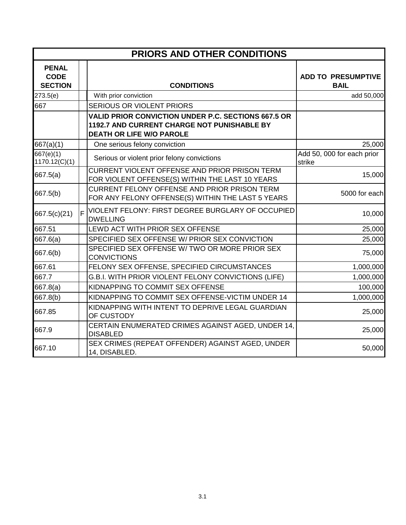|                                               | PRIORS AND OTHER CONDITIONS |                                                                                                                                              |                                          |  |
|-----------------------------------------------|-----------------------------|----------------------------------------------------------------------------------------------------------------------------------------------|------------------------------------------|--|
| <b>PENAL</b><br><b>CODE</b><br><b>SECTION</b> |                             | <b>CONDITIONS</b>                                                                                                                            | <b>ADD TO PRESUMPTIVE</b><br><b>BAIL</b> |  |
| 273.5(e)                                      |                             | With prior conviction                                                                                                                        | add 50,000                               |  |
| 667                                           |                             | <b>SERIOUS OR VIOLENT PRIORS</b>                                                                                                             |                                          |  |
|                                               |                             | <b>VALID PRIOR CONVICTION UNDER P.C. SECTIONS 667.5 OR</b><br>1192.7 AND CURRENT CHARGE NOT PUNISHABLE BY<br><b>DEATH OR LIFE W/O PAROLE</b> |                                          |  |
| 667(a)(1)                                     |                             | One serious felony conviction                                                                                                                | 25,000                                   |  |
| 667(e)(1)<br>1170.12(C)(1)                    |                             | Serious or violent prior felony convictions                                                                                                  | Add 50, 000 for each prior<br>strike     |  |
| 667.5(a)                                      |                             | <b>CURRENT VIOLENT OFFENSE AND PRIOR PRISON TERM</b><br>FOR VIOLENT OFFENSE(S) WITHIN THE LAST 10 YEARS                                      | 15,000                                   |  |
| 667.5(b)                                      |                             | <b>CURRENT FELONY OFFENSE AND PRIOR PRISON TERM</b><br>FOR ANY FELONY OFFENSE(S) WITHIN THE LAST 5 YEARS                                     | 5000 for each                            |  |
| 667.5(c)(21)                                  | F                           | VIOLENT FELONY: FIRST DEGREE BURGLARY OF OCCUPIED<br><b>DWELLING</b>                                                                         | 10,000                                   |  |
| 667.51                                        |                             | LEWD ACT WITH PRIOR SEX OFFENSE                                                                                                              | 25,000                                   |  |
| 667.6(a)                                      |                             | SPECIFIED SEX OFFENSE W/ PRIOR SEX CONVICTION                                                                                                | 25,000                                   |  |
| 667.6(b)                                      |                             | SPECIFIED SEX OFFENSE W/ TWO OR MORE PRIOR SEX<br><b>CONVICTIONS</b>                                                                         | 75,000                                   |  |
| 667.61                                        |                             | FELONY SEX OFFENSE, SPECIFIED CIRCUMSTANCES                                                                                                  | 1,000,000                                |  |
| 667.7                                         |                             | G.B.I. WITH PRIOR VIOLENT FELONY CONVICTIONS (LIFE)                                                                                          | 1,000,000                                |  |
| 667.8(a)                                      |                             | KIDNAPPING TO COMMIT SEX OFFENSE                                                                                                             | 100,000                                  |  |
| 667.8(b)                                      |                             | KIDNAPPING TO COMMIT SEX OFFENSE-VICTIM UNDER 14                                                                                             | 1,000,000                                |  |
| 667.85                                        |                             | KIDNAPPING WITH INTENT TO DEPRIVE LEGAL GUARDIAN<br>OF CUSTODY                                                                               | 25,000                                   |  |
| 667.9                                         |                             | CERTAIN ENUMERATED CRIMES AGAINST AGED, UNDER 14,<br><b>DISABLED</b>                                                                         | 25,000                                   |  |
| 667.10                                        |                             | SEX CRIMES (REPEAT OFFENDER) AGAINST AGED, UNDER<br>14, DISABLED.                                                                            | 50,000                                   |  |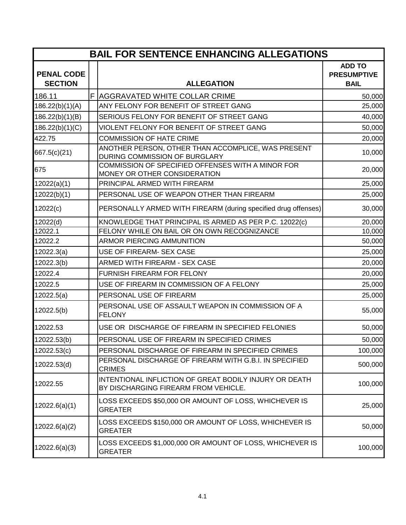| <b>BAIL FOR SENTENCE ENHANCING ALLEGATIONS</b> |  |                                                                                                |                                                    |
|------------------------------------------------|--|------------------------------------------------------------------------------------------------|----------------------------------------------------|
| <b>PENAL CODE</b><br><b>SECTION</b>            |  | <b>ALLEGATION</b>                                                                              | <b>ADD TO</b><br><b>PRESUMPTIVE</b><br><b>BAIL</b> |
| 186.11                                         |  | F AGGRAVATED WHITE COLLAR CRIME                                                                | 50,000                                             |
| 186.22(b)(1)(A)                                |  | ANY FELONY FOR BENEFIT OF STREET GANG                                                          | 25,000                                             |
| 186.22(b)(1)(B)                                |  | SERIOUS FELONY FOR BENEFIT OF STREET GANG                                                      | 40,000                                             |
| 186.22(b)(1)(C)                                |  | VIOLENT FELONY FOR BENEFIT OF STREET GANG                                                      | 50,000                                             |
| 422.75                                         |  | <b>COMMISSION OF HATE CRIME</b>                                                                | 20,000                                             |
| 667.5(c)(21)                                   |  | ANOTHER PERSON, OTHER THAN ACCOMPLICE, WAS PRESENT<br>DURING COMMISSION OF BURGLARY            | 10,000                                             |
| 675                                            |  | COMMISSION OF SPECIFIED OFFENSES WITH A MINOR FOR<br>MONEY OR OTHER CONSIDERATION              | 20,000                                             |
| 12022(a)(1)                                    |  | PRINCIPAL ARMED WITH FIREARM                                                                   | 25,000                                             |
| 12022(b)(1)                                    |  | PERSONAL USE OF WEAPON OTHER THAN FIREARM                                                      | 25,000                                             |
| 12022(c)                                       |  | PERSONALLY ARMED WITH FIREARM (during specified drug offenses)                                 | 30,000                                             |
| 12022(d)                                       |  | KNOWLEDGE THAT PRINCIPAL IS ARMED AS PER P.C. 12022(c)                                         | 20,000                                             |
| 12022.1                                        |  | FELONY WHILE ON BAIL OR ON OWN RECOGNIZANCE                                                    | 10,000                                             |
| 12022.2                                        |  | <b>ARMOR PIERCING AMMUNITION</b>                                                               | 50,000                                             |
| 12022.3(a)                                     |  | USE OF FIREARM- SEX CASE                                                                       | 25,000                                             |
| 12022.3(b)                                     |  | ARMED WITH FIREARM - SEX CASE                                                                  | 20,000                                             |
| 12022.4                                        |  | <b>FURNISH FIREARM FOR FELONY</b>                                                              | 20,000                                             |
| 12022.5                                        |  | USE OF FIREARM IN COMMISSION OF A FELONY                                                       | 25,000                                             |
| 12022.5(a)                                     |  | PERSONAL USE OF FIREARM                                                                        | 25,000                                             |
| 12022.5(b)                                     |  | PERSONAL USE OF ASSAULT WEAPON IN COMMISSION OF A<br><b>FELONY</b>                             | 55,000                                             |
| 12022.53                                       |  | USE OR DISCHARGE OF FIREARM IN SPECIFIED FELONIES                                              | 50,000                                             |
| 12022.53(b)                                    |  | PERSONAL USE OF FIREARM IN SPECIFIED CRIMES                                                    | 50,000                                             |
| 12022.53(c)                                    |  | PERSONAL DISCHARGE OF FIREARM IN SPECIFIED CRIMES                                              | 100,000                                            |
| 12022.53(d)                                    |  | PERSONAL DISCHARGE OF FIREARM WITH G.B.I. IN SPECIFIED<br><b>CRIMES</b>                        | 500,000                                            |
| 12022.55                                       |  | INTENTIONAL INFLICTION OF GREAT BODILY INJURY OR DEATH<br>BY DISCHARGING FIREARM FROM VEHICLE. | 100,000                                            |
| 12022.6(a)(1)                                  |  | LOSS EXCEEDS \$50,000 OR AMOUNT OF LOSS, WHICHEVER IS<br><b>GREATER</b>                        | 25,000                                             |
| 12022.6(a)(2)                                  |  | LOSS EXCEEDS \$150,000 OR AMOUNT OF LOSS, WHICHEVER IS<br><b>GREATER</b>                       | 50,000                                             |
| 12022.6(a)(3)                                  |  | LOSS EXCEEDS \$1,000,000 OR AMOUNT OF LOSS, WHICHEVER IS<br><b>GREATER</b>                     | 100,000                                            |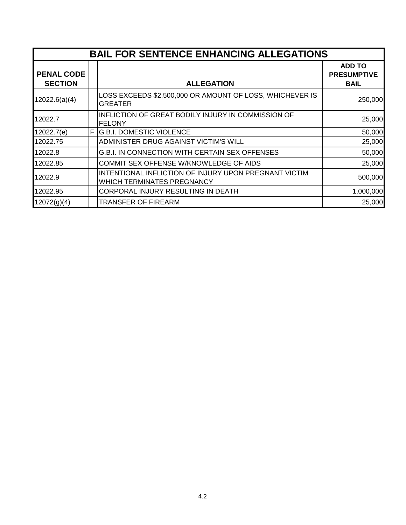|                                     | <b>BAIL FOR SENTENCE ENHANCING ALLEGATIONS</b> |                                                                                            |                                                    |  |
|-------------------------------------|------------------------------------------------|--------------------------------------------------------------------------------------------|----------------------------------------------------|--|
| <b>PENAL CODE</b><br><b>SECTION</b> |                                                | <b>ALLEGATION</b>                                                                          | <b>ADD TO</b><br><b>PRESUMPTIVE</b><br><b>BAIL</b> |  |
| 12022.6(a)(4)                       |                                                | LOSS EXCEEDS \$2,500,000 OR AMOUNT OF LOSS, WHICHEVER IS<br><b>GREATER</b>                 | 250,000                                            |  |
| 12022.7                             |                                                | INFLICTION OF GREAT BODILY INJURY IN COMMISSION OF<br><b>FELONY</b>                        | 25,000                                             |  |
| 12022.7(e)                          | F                                              | <b>G.B.I. DOMESTIC VIOLENCE</b>                                                            | 50,000                                             |  |
| 12022.75                            |                                                | ADMINISTER DRUG AGAINST VICTIM'S WILL                                                      | 25,000                                             |  |
| 12022.8                             |                                                | <b>G.B.I. IN CONNECTION WITH CERTAIN SEX OFFENSES</b>                                      | 50,000                                             |  |
| 12022.85                            |                                                | COMMIT SEX OFFENSE W/KNOWLEDGE OF AIDS                                                     | 25,000                                             |  |
| 12022.9                             |                                                | INTENTIONAL INFLICTION OF INJURY UPON PREGNANT VICTIM<br><b>WHICH TERMINATES PREGNANCY</b> | 500,000                                            |  |
| 12022.95                            |                                                | CORPORAL INJURY RESULTING IN DEATH                                                         | 1,000,000                                          |  |
| 12072(g)(4)                         |                                                | <b>TRANSFER OF FIREARM</b>                                                                 | 25,000                                             |  |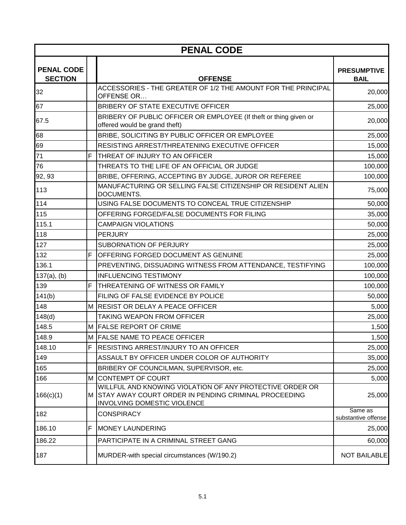| <b>PENAL CODE</b>                   |   |                                                                                                                                                   |                                   |  |
|-------------------------------------|---|---------------------------------------------------------------------------------------------------------------------------------------------------|-----------------------------------|--|
| <b>PENAL CODE</b><br><b>SECTION</b> |   | <b>OFFENSE</b>                                                                                                                                    | <b>PRESUMPTIVE</b><br><b>BAIL</b> |  |
| 32                                  |   | ACCESSORIES - THE GREATER OF 1/2 THE AMOUNT FOR THE PRINCIPAL<br>OFFENSE OR                                                                       | 20,000                            |  |
| 67                                  |   | BRIBERY OF STATE EXECUTIVE OFFICER                                                                                                                | 25,000                            |  |
| 67.5                                |   | BRIBERY OF PUBLIC OFFICER OR EMPLOYEE (If theft or thing given or<br>offered would be grand theft)                                                | 20,000                            |  |
| 68                                  |   | BRIBE, SOLICITING BY PUBLIC OFFICER OR EMPLOYEE                                                                                                   | 25,000                            |  |
| 69                                  |   | RESISTING ARREST/THREATENING EXECUTIVE OFFICER                                                                                                    | 15,000                            |  |
| 71                                  | F | THREAT OF INJURY TO AN OFFICER                                                                                                                    | 15,000                            |  |
| 76                                  |   | THREATS TO THE LIFE OF AN OFFICIAL OR JUDGE                                                                                                       | 100,000                           |  |
| 92, 93                              |   | BRIBE, OFFERING, ACCEPTING BY JUDGE, JUROR OR REFEREE                                                                                             | 100,000                           |  |
| 113                                 |   | MANUFACTURING OR SELLING FALSE CITIZENSHIP OR RESIDENT ALIEN<br>DOCUMENTS.                                                                        | 75,000                            |  |
| 114                                 |   | USING FALSE DOCUMENTS TO CONCEAL TRUE CITIZENSHIP                                                                                                 | 50,000                            |  |
| 115                                 |   | OFFERING FORGED/FALSE DOCUMENTS FOR FILING                                                                                                        | 35,000                            |  |
| 115.1                               |   | <b>CAMPAIGN VIOLATIONS</b>                                                                                                                        | 50,000                            |  |
| 118                                 |   | <b>PERJURY</b>                                                                                                                                    | 25,000                            |  |
| 127                                 |   | SUBORNATION OF PERJURY                                                                                                                            | 25,000                            |  |
| 132                                 | F | <b>OFFERING FORGED DOCUMENT AS GENUINE</b>                                                                                                        | 25,000                            |  |
| 136.1                               |   | PREVENTING, DISSUADING WITNESS FROM ATTENDANCE, TESTIFYING                                                                                        | 100,000                           |  |
| $137(a)$ , (b)                      |   | <b>INFLUENCING TESTIMONY</b>                                                                                                                      | 100,000                           |  |
| 139                                 | F | THREATENING OF WITNESS OR FAMILY                                                                                                                  | 100,000                           |  |
| 141(b)                              |   | FILING OF FALSE EVIDENCE BY POLICE                                                                                                                | 50,000                            |  |
| 148                                 |   | M RESIST OR DELAY A PEACE OFFICER                                                                                                                 | 5,000                             |  |
| 148(d)                              |   | <b>TAKING WEAPON FROM OFFICER</b>                                                                                                                 | 25,000                            |  |
| 148.5                               |   | M FALSE REPORT OF CRIME                                                                                                                           | 1,500                             |  |
| 148.9                               |   | M FALSE NAME TO PEACE OFFICER                                                                                                                     | 1,500                             |  |
| 148.10                              | F | <b>RESISTING ARREST/INJURY TO AN OFFICER</b>                                                                                                      | 25,000                            |  |
| 149                                 |   | ASSAULT BY OFFICER UNDER COLOR OF AUTHORITY                                                                                                       | 35,000                            |  |
| 165                                 |   | BRIBERY OF COUNCILMAN, SUPERVISOR, etc.                                                                                                           | 25,000                            |  |
| 166                                 | M | <b>CONTEMPT OF COURT</b>                                                                                                                          | 5,000                             |  |
| 166(c)(1)                           |   | WILLFUL AND KNOWING VIOLATION OF ANY PROTECTIVE ORDER OR<br>M STAY AWAY COURT ORDER IN PENDING CRIMINAL PROCEEDING<br>INVOLVING DOMESTIC VIOLENCE | 25,000                            |  |
| 182                                 |   | <b>CONSPIRACY</b>                                                                                                                                 | Same as<br>substantive offense    |  |
| 186.10                              | F | <b>MONEY LAUNDERING</b>                                                                                                                           | 25,000                            |  |
| 186.22                              |   | PARTICIPATE IN A CRIMINAL STREET GANG                                                                                                             | 60,000                            |  |
| 187                                 |   | MURDER-with special circumstances (W/190.2)                                                                                                       | <b>NOT BAILABLE</b>               |  |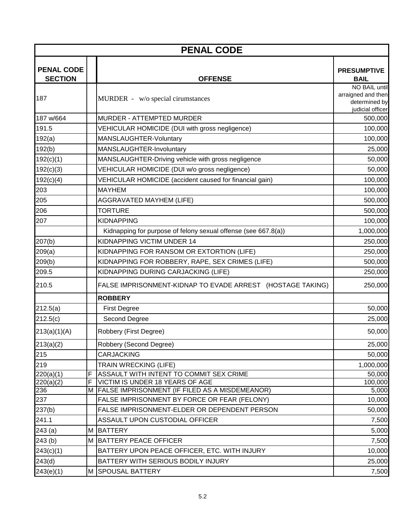|                                     | <b>PENAL CODE</b> |                                                                                                  |                                   |  |  |
|-------------------------------------|-------------------|--------------------------------------------------------------------------------------------------|-----------------------------------|--|--|
| <b>PENAL CODE</b><br><b>SECTION</b> |                   | <b>OFFENSE</b>                                                                                   | <b>PRESUMPTIVE</b><br><b>BAIL</b> |  |  |
|                                     |                   |                                                                                                  | NO BAIL until                     |  |  |
| 187                                 |                   | MURDER - w/o special cirumstances                                                                | arraigned and then                |  |  |
|                                     |                   |                                                                                                  | determined by<br>judicial officer |  |  |
| 187 w/664                           |                   | <b>MURDER - ATTEMPTED MURDER</b>                                                                 | 500,000                           |  |  |
| 191.5                               |                   | VEHICULAR HOMICIDE (DUI with gross negligence)                                                   | 100,000                           |  |  |
| 192(a)                              |                   | MANSLAUGHTER-Voluntary                                                                           | 100,000                           |  |  |
| 192(b)                              |                   | MANSLAUGHTER-Involuntary                                                                         | 25,000                            |  |  |
| 192(c)(1)                           |                   | MANSLAUGHTER-Driving vehicle with gross negligence                                               | 50,000                            |  |  |
| 192(c)(3)                           |                   | VEHICULAR HOMICIDE (DUI w/o gross negligence)                                                    | 50,000                            |  |  |
| 192(c)(4)                           |                   | VEHICULAR HOMICIDE (accident caused for financial gain)                                          | 100,000                           |  |  |
| 203                                 |                   | <b>MAYHEM</b>                                                                                    | 100,000                           |  |  |
| 205                                 |                   | <b>AGGRAVATED MAYHEM (LIFE)</b>                                                                  | 500,000                           |  |  |
| 206                                 |                   | <b>TORTURE</b>                                                                                   | 500,000                           |  |  |
| 207                                 |                   | <b>KIDNAPPING</b>                                                                                | 100,000                           |  |  |
|                                     |                   | Kidnapping for purpose of felony sexual offense (see 667.8(a))                                   | 1,000,000                         |  |  |
| 207(b)                              |                   | KIDNAPPING VICTIM UNDER 14                                                                       | 250,000                           |  |  |
| 209(a)                              |                   | KIDNAPPING FOR RANSOM OR EXTORTION (LIFE)                                                        | 250,000                           |  |  |
| 209(b)                              |                   | KIDNAPPING FOR ROBBERY, RAPE, SEX CRIMES (LIFE)                                                  | 500,000                           |  |  |
| 209.5                               |                   | KIDNAPPING DURING CARJACKING (LIFE)                                                              | 250,000                           |  |  |
| 210.5                               |                   | FALSE IMPRISONMENT-KIDNAP TO EVADE ARREST (HOSTAGE TAKING)                                       | 250,000                           |  |  |
|                                     |                   | <b>ROBBERY</b>                                                                                   |                                   |  |  |
| 212.5(a)                            |                   | <b>First Degree</b>                                                                              | 50,000                            |  |  |
| 212.5(c)                            |                   | Second Degree                                                                                    | 25,000                            |  |  |
| 213(a)(1)(A)                        |                   | Robbery (First Degree)                                                                           | 50,000                            |  |  |
| 213(a)(2)                           |                   | Robbery (Second Degree)                                                                          | 25,000                            |  |  |
| 215                                 |                   | <b>CARJACKING</b>                                                                                | 50,000                            |  |  |
| 219                                 |                   | <b>TRAIN WRECKING (LIFE)</b>                                                                     | 1,000,000                         |  |  |
| 220(a)(1)                           | F                 | ASSAULT WITH INTENT TO COMMIT SEX CRIME                                                          | 50,000                            |  |  |
| 220(a)(2)                           | F                 | VICTIM IS UNDER 18 YEARS OF AGE                                                                  | 100,000                           |  |  |
| 236<br>237                          |                   | M FALSE IMPRISONMENT (IF FILED AS A MISDEMEANOR)<br>FALSE IMPRISONMENT BY FORCE OR FEAR (FELONY) | 5,000<br>10,000                   |  |  |
| 237(b)                              |                   | FALSE IMPRISONMENT-ELDER OR DEPENDENT PERSON                                                     | 50,000                            |  |  |
| 241.1                               |                   | ASSAULT UPON CUSTODIAL OFFICER                                                                   | 7,500                             |  |  |
|                                     | М                 | <b>BATTERY</b>                                                                                   | 5,000                             |  |  |
| 243(a)<br>243(b)                    |                   | M BATTERY PEACE OFFICER                                                                          | 7,500                             |  |  |
| 243(c)(1)                           |                   | BATTERY UPON PEACE OFFICER, ETC. WITH INJURY                                                     | 10,000                            |  |  |
| 243(d)                              |                   | BATTERY WITH SERIOUS BODILY INJURY                                                               | 25,000                            |  |  |
|                                     |                   |                                                                                                  |                                   |  |  |
| 243(e)(1)                           |                   | M SPOUSAL BATTERY                                                                                | 7,500                             |  |  |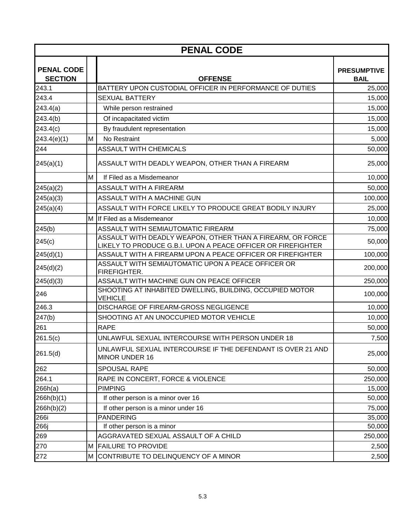|                                     | <b>PENAL CODE</b> |                                                                                                                            |                                   |  |
|-------------------------------------|-------------------|----------------------------------------------------------------------------------------------------------------------------|-----------------------------------|--|
| <b>PENAL CODE</b><br><b>SECTION</b> |                   | <b>OFFENSE</b>                                                                                                             | <b>PRESUMPTIVE</b><br><b>BAIL</b> |  |
| 243.1                               |                   | BATTERY UPON CUSTODIAL OFFICER IN PERFORMANCE OF DUTIES                                                                    | 25,000                            |  |
| 243.4                               |                   | <b>SEXUAL BATTERY</b>                                                                                                      | 15,000                            |  |
| 243.4(a)                            |                   | While person restrained                                                                                                    | 15,000                            |  |
| 243.4(b)                            |                   | Of incapacitated victim                                                                                                    | 15,000                            |  |
| 243.4(c)                            |                   | By fraudulent representation                                                                                               | 15,000                            |  |
| 243.4(e)(1)                         | M                 | No Restraint                                                                                                               | 5,000                             |  |
| 244                                 |                   | <b>ASSAULT WITH CHEMICALS</b>                                                                                              | 50,000                            |  |
| 245(a)(1)                           |                   | ASSAULT WITH DEADLY WEAPON, OTHER THAN A FIREARM                                                                           | 25,000                            |  |
|                                     | M                 | If Filed as a Misdemeanor                                                                                                  | 10,000                            |  |
| 245(a)(2)                           |                   | <b>ASSAULT WITH A FIREARM</b>                                                                                              | 50,000                            |  |
| 245(a)(3)                           |                   | ASSAULT WITH A MACHINE GUN                                                                                                 | 100,000                           |  |
| 245(a)(4)                           |                   | ASSAULT WITH FORCE LIKELY TO PRODUCE GREAT BODILY INJURY                                                                   | 25,000                            |  |
|                                     |                   | M If Filed as a Misdemeanor                                                                                                | 10,000                            |  |
| 245(b)                              |                   | ASSAULT WITH SEMIAUTOMATIC FIREARM                                                                                         | 75,000                            |  |
| 245(c)                              |                   | ASSAULT WITH DEADLY WEAPON, OTHER THAN A FIREARM, OR FORCE<br>LIKELY TO PRODUCE G.B.I. UPON A PEACE OFFICER OR FIREFIGHTER | 50,000                            |  |
| 245(d)(1)                           |                   | ASSAULT WITH A FIREARM UPON A PEACE OFFICER OR FIREFIGHTER                                                                 | 100,000                           |  |
| 245(d)(2)                           |                   | ASSAULT WITH SEMIAUTOMATIC UPON A PEACE OFFICER OR<br>FIREFIGHTER.                                                         | 200,000                           |  |
| 245(d)(3)                           |                   | ASSAULT WITH MACHINE GUN ON PEACE OFFICER                                                                                  | 250,000                           |  |
| 246                                 |                   | SHOOTING AT INHABITED DWELLING, BUILDING, OCCUPIED MOTOR<br><b>VEHICLE</b>                                                 | 100,000                           |  |
| 246.3                               |                   | <b>DISCHARGE OF FIREARM-GROSS NEGLIGENCE</b>                                                                               | 10,000                            |  |
| 247(b)                              |                   | SHOOTING AT AN UNOCCUPIED MOTOR VEHICLE                                                                                    | 10,000                            |  |
| 261                                 |                   | <b>RAPE</b>                                                                                                                | 50,000                            |  |
| 261.5(c)                            |                   | UNLAWFUL SEXUAL INTERCOURSE WITH PERSON UNDER 18                                                                           | 7,500                             |  |
| 261.5(d)                            |                   | UNLAWFUL SEXUAL INTERCOURSE IF THE DEFENDANT IS OVER 21 AND<br>MINOR UNDER 16                                              | 25,000                            |  |
| 262                                 |                   | <b>SPOUSAL RAPE</b>                                                                                                        | 50,000                            |  |
| 264.1                               |                   | RAPE IN CONCERT, FORCE & VIOLENCE                                                                                          | 250,000                           |  |
| 266h(a)                             |                   | <b>PIMPING</b>                                                                                                             | 15,000                            |  |
| 266h(b)(1)                          |                   | If other person is a minor over 16                                                                                         | 50,000                            |  |
| 266h(b)(2)                          |                   | If other person is a minor under 16                                                                                        | 75,000                            |  |
| 266i                                |                   | <b>PANDERING</b>                                                                                                           | 35,000                            |  |
| 266j                                |                   | If other person is a minor                                                                                                 | 50,000                            |  |
| 269                                 |                   | AGGRAVATED SEXUAL ASSAULT OF A CHILD                                                                                       | 250,000                           |  |
| 270                                 |                   | M FAILURE TO PROVIDE                                                                                                       | 2,500                             |  |
| 272                                 | M                 | CONTRIBUTE TO DELINQUENCY OF A MINOR                                                                                       | 2,500                             |  |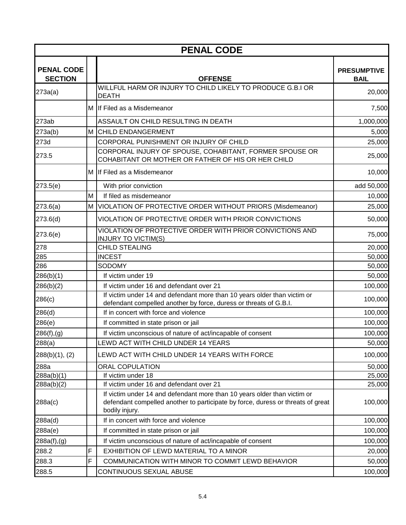|                                     | <b>PENAL CODE</b> |                                                                                                                                                                               |                                   |  |  |
|-------------------------------------|-------------------|-------------------------------------------------------------------------------------------------------------------------------------------------------------------------------|-----------------------------------|--|--|
| <b>PENAL CODE</b><br><b>SECTION</b> |                   | <b>OFFENSE</b>                                                                                                                                                                | <b>PRESUMPTIVE</b><br><b>BAIL</b> |  |  |
| 273a(a)                             |                   | WILLFUL HARM OR INJURY TO CHILD LIKELY TO PRODUCE G.B.I OR<br><b>DEATH</b>                                                                                                    | 20,000                            |  |  |
|                                     |                   | M If Filed as a Misdemeanor                                                                                                                                                   | 7,500                             |  |  |
| 273ab                               |                   | ASSAULT ON CHILD RESULTING IN DEATH                                                                                                                                           | 1,000,000                         |  |  |
| 273a(b)                             |                   | M CHILD ENDANGERMENT                                                                                                                                                          | 5,000                             |  |  |
| 273d                                |                   | CORPORAL PUNISHMENT OR INJURY OF CHILD                                                                                                                                        | 25,000                            |  |  |
| 273.5                               |                   | CORPORAL INJURY OF SPOUSE, COHABITANT, FORMER SPOUSE OR<br>COHABITANT OR MOTHER OR FATHER OF HIS OR HER CHILD                                                                 | 25,000                            |  |  |
|                                     |                   | M If Filed as a Misdemeanor                                                                                                                                                   | 10,000                            |  |  |
| 273.5(e)                            |                   | With prior conviction                                                                                                                                                         | add 50,000                        |  |  |
|                                     | M                 | If filed as misdemeanor                                                                                                                                                       | 10,000                            |  |  |
| 273.6(a)                            | М                 | VIOLATION OF PROTECTIVE ORDER WITHOUT PRIORS (Misdemeanor)                                                                                                                    | 25,000                            |  |  |
| 273.6(d)                            |                   | VIOLATION OF PROTECTIVE ORDER WITH PRIOR CONVICTIONS                                                                                                                          | 50,000                            |  |  |
| 273.6(e)                            |                   | VIOLATION OF PROTECTIVE ORDER WITH PRIOR CONVICTIONS AND<br><b>INJURY TO VICTIM(S)</b>                                                                                        | 75,000                            |  |  |
| 278                                 |                   | <b>CHILD STEALING</b>                                                                                                                                                         | 20,000                            |  |  |
| 285                                 |                   | <b>INCEST</b>                                                                                                                                                                 | 50,000                            |  |  |
| 286                                 |                   | SODOMY                                                                                                                                                                        | 50,000                            |  |  |
| 286(b)(1)                           |                   | If victim under 19                                                                                                                                                            | 50,000                            |  |  |
| 286(b)(2)                           |                   | If victim under 16 and defendant over 21                                                                                                                                      | 100,000                           |  |  |
| 286(c)                              |                   | If victim under 14 and defendant more than 10 years older than victim or<br>defendant compelled another by force, duress or threats of G.B.I.                                 | 100,000                           |  |  |
| 286(d)                              |                   | If in concert with force and violence                                                                                                                                         | 100,000                           |  |  |
| 286(e)                              |                   | If committed in state prison or jail                                                                                                                                          | 100,000                           |  |  |
| 286(f),(g)                          |                   | If victim unconscious of nature of act/incapable of consent                                                                                                                   | 100,000                           |  |  |
| 288(a)                              |                   | LEWD ACT WITH CHILD UNDER 14 YEARS                                                                                                                                            | 50,000                            |  |  |
| $288(b)(1)$ , (2)                   |                   | LEWD ACT WITH CHILD UNDER 14 YEARS WITH FORCE                                                                                                                                 | 100,000                           |  |  |
| 288a                                |                   | <b>ORAL COPULATION</b>                                                                                                                                                        | 50,000                            |  |  |
| 288a(b)(1)                          |                   | If victim under 18                                                                                                                                                            | 25,000                            |  |  |
| 288a(b)(2)                          |                   | If victim under 16 and defendant over 21                                                                                                                                      | 25,000                            |  |  |
| 288a(c)                             |                   | If victim under 14 and defendant more than 10 years older than victim or<br>defendant compelled another to participate by force, duress or threats of great<br>bodily injury. | 100,000                           |  |  |
| 288a(d)                             |                   | If in concert with force and violence                                                                                                                                         | 100,000                           |  |  |
| 288a(e)                             |                   | If committed in state prison or jail                                                                                                                                          | 100,000                           |  |  |
| 288a(f),(g)                         |                   | If victim unconscious of nature of act/incapable of consent                                                                                                                   | 100,000                           |  |  |
| 288.2                               | F                 | EXHIBITION OF LEWD MATERIAL TO A MINOR                                                                                                                                        | 20,000                            |  |  |
| 288.3                               | F                 | COMMUNICATION WITH MINOR TO COMMIT LEWD BEHAVIOR                                                                                                                              | 50,000                            |  |  |
| 288.5                               |                   | CONTINUOUS SEXUAL ABUSE                                                                                                                                                       | 100,000                           |  |  |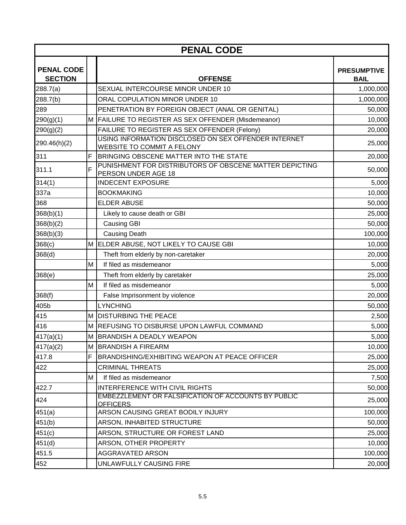| <b>PENAL CODE</b>                   |   |                                                                                    |                                   |  |
|-------------------------------------|---|------------------------------------------------------------------------------------|-----------------------------------|--|
| <b>PENAL CODE</b><br><b>SECTION</b> |   | <b>OFFENSE</b>                                                                     | <b>PRESUMPTIVE</b><br><b>BAIL</b> |  |
| 288.7(a)                            |   | SEXUAL INTERCOURSE MINOR UNDER 10                                                  | 1,000,000                         |  |
| 288.7(b)                            |   | ORAL COPULATION MINOR UNDER 10                                                     | 1,000,000                         |  |
| 289                                 |   | PENETRATION BY FOREIGN OBJECT (ANAL OR GENITAL)                                    | 50,000                            |  |
| 290(g)(1)                           |   | M FAILURE TO REGISTER AS SEX OFFENDER (Misdemeanor)                                | 10,000                            |  |
| 290(g)(2)                           |   | FAILURE TO REGISTER AS SEX OFFENDER (Felony)                                       | 20,000                            |  |
| 290.46(h)(2)                        |   | USING INFORMATION DISCLOSED ON SEX OFFENDER INTERNET<br>WEBSITE TO COMMIT A FELONY | 25,000                            |  |
| 311                                 | F | BRINGING OBSCENE MATTER INTO THE STATE                                             | 20,000                            |  |
| 311.1                               | F | PUNISHMENT FOR DISTRIBUTORS OF OBSCENE MATTER DEPICTING<br>PERSON UNDER AGE 18     | 50,000                            |  |
| 314(1)                              |   | <b>INDECENT EXPOSURE</b>                                                           | 5,000                             |  |
| 337a                                |   | <b>BOOKMAKING</b>                                                                  | 10,000                            |  |
| 368                                 |   | <b>ELDER ABUSE</b>                                                                 | 50,000                            |  |
| 368(b)(1)                           |   | Likely to cause death or GBI                                                       | 25,000                            |  |
| 368(b)(2)                           |   | Causing GBI                                                                        | 50,000                            |  |
| 368(b)(3)                           |   | <b>Causing Death</b>                                                               | 100,000                           |  |
| 368(c)                              | М | ELDER ABUSE, NOT LIKELY TO CAUSE GBI                                               | 10,000                            |  |
| 368(d)                              |   | Theft from elderly by non-caretaker                                                | 20,000                            |  |
|                                     | M | If filed as misdemeanor                                                            | 5,000                             |  |
| 368(e)                              |   | Theft from elderly by caretaker                                                    | 25,000                            |  |
|                                     | M | If filed as misdemeanor                                                            | 5,000                             |  |
| 368(f)                              |   | False Imprisonment by violence                                                     | 20,000                            |  |
| 405b                                |   | <b>LYNCHING</b>                                                                    | 50,000                            |  |
| 415                                 |   | M DISTURBING THE PEACE                                                             | 2,500                             |  |
| 416                                 |   | M REFUSING TO DISBURSE UPON LAWFUL COMMAND                                         | 5,000                             |  |
| 417(a)(1)                           |   | M BRANDISH A DEADLY WEAPON                                                         | 5,000                             |  |
| 417(a)(2)                           |   | M BRANDISH A FIREARM                                                               | 10,000                            |  |
| 417.8                               | F | BRANDISHING/EXHIBITING WEAPON AT PEACE OFFICER                                     | 25,000                            |  |
| 422                                 |   | <b>CRIMINAL THREATS</b>                                                            | 25,000                            |  |
|                                     | M | If filed as misdemeanor                                                            | 7,500                             |  |
| 422.7                               |   | INTERFERENCE WITH CIVIL RIGHTS                                                     | 50,000                            |  |
| 424                                 |   | EMBEZZLEMENT OR FALSIFICATION OF ACCOUNTS BY PUBLIC<br><b>OFFICERS</b>             | 25,000                            |  |
| 451(a)                              |   | ARSON CAUSING GREAT BODILY INJURY                                                  | 100,000                           |  |
| 451(b)                              |   | ARSON, INHABITED STRUCTURE                                                         | 50,000                            |  |
| 451(c)                              |   | ARSON, STRUCTURE OR FOREST LAND                                                    | 25,000                            |  |
| 451(d)                              |   | ARSON, OTHER PROPERTY                                                              | 10,000                            |  |
| 451.5                               |   | <b>AGGRAVATED ARSON</b>                                                            | 100,000                           |  |
| 452                                 |   | UNLAWFULLY CAUSING FIRE                                                            | 20,000                            |  |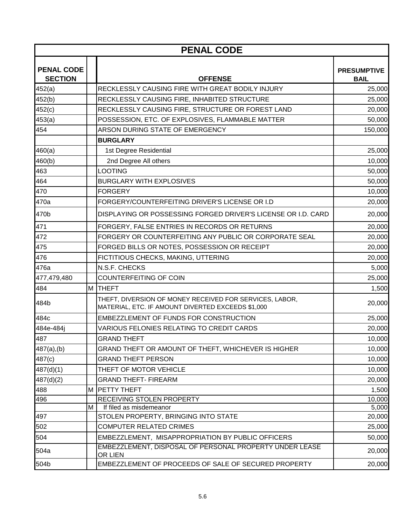| <b>PENAL CODE</b>                   |   |                                                                                                              |                                   |  |
|-------------------------------------|---|--------------------------------------------------------------------------------------------------------------|-----------------------------------|--|
| <b>PENAL CODE</b><br><b>SECTION</b> |   | <b>OFFENSE</b>                                                                                               | <b>PRESUMPTIVE</b><br><b>BAIL</b> |  |
| 452(a)                              |   | RECKLESSLY CAUSING FIRE WITH GREAT BODILY INJURY                                                             | 25,000                            |  |
| 452(b)                              |   | RECKLESSLY CAUSING FIRE, INHABITED STRUCTURE                                                                 | 25,000                            |  |
| 452(c)                              |   | RECKLESSLY CAUSING FIRE, STRUCTURE OR FOREST LAND                                                            | 20,000                            |  |
| 453(a)                              |   | POSSESSION, ETC. OF EXPLOSIVES, FLAMMABLE MATTER                                                             | 50,000                            |  |
| 454                                 |   | ARSON DURING STATE OF EMERGENCY                                                                              | 150,000                           |  |
|                                     |   | <b>BURGLARY</b>                                                                                              |                                   |  |
| 460(a)                              |   | 1st Degree Residential                                                                                       | 25,000                            |  |
| 460(b)                              |   | 2nd Degree All others                                                                                        | 10,000                            |  |
| 463                                 |   | <b>LOOTING</b>                                                                                               | 50,000                            |  |
| 464                                 |   | <b>BURGLARY WITH EXPLOSIVES</b>                                                                              | 50,000                            |  |
| 470                                 |   | FORGERY                                                                                                      | 10,000                            |  |
| 470a                                |   | FORGERY/COUNTERFEITING DRIVER'S LICENSE OR I.D                                                               | 20,000                            |  |
| 470b                                |   | DISPLAYING OR POSSESSING FORGED DRIVER'S LICENSE OR I.D. CARD                                                | 20,000                            |  |
| 471                                 |   | FORGERY, FALSE ENTRIES IN RECORDS OR RETURNS                                                                 | 20,000                            |  |
| 472                                 |   | FORGERY OR COUNTERFEITING ANY PUBLIC OR CORPORATE SEAL                                                       | 20,000                            |  |
| 475                                 |   | FORGED BILLS OR NOTES, POSSESSION OR RECEIPT                                                                 | 20,000                            |  |
| 476                                 |   | FICTITIOUS CHECKS, MAKING, UTTERING                                                                          | 20,000                            |  |
| 476a                                |   | N.S.F. CHECKS                                                                                                | 5,000                             |  |
| 477,479,480                         |   | COUNTERFEITING OF COIN                                                                                       | 25,000                            |  |
| 484                                 | M | <b>THEFT</b>                                                                                                 | 1,500                             |  |
| 484b                                |   | THEFT, DIVERSION OF MONEY RECEIVED FOR SERVICES, LABOR,<br>MATERIAL, ETC. IF AMOUNT DIVERTED EXCEEDS \$1,000 | 20,000                            |  |
| 484c                                |   | EMBEZZLEMENT OF FUNDS FOR CONSTRUCTION                                                                       | 25,000                            |  |
| 484e-484j                           |   | VARIOUS FELONIES RELATING TO CREDIT CARDS                                                                    | 20,000                            |  |
| 487                                 |   | <b>GRAND THEFT</b>                                                                                           | 10,000                            |  |
| $487(a)$ , (b)                      |   | GRAND THEFT OR AMOUNT OF THEFT, WHICHEVER IS HIGHER                                                          | 10,000                            |  |
| 487(c)                              |   | <b>GRAND THEFT PERSON</b>                                                                                    | 10,000                            |  |
| 487(d)(1)                           |   | THEFT OF MOTOR VEHICLE                                                                                       | 10,000                            |  |
| 487(d)(2)                           |   | <b>GRAND THEFT- FIREARM</b>                                                                                  | 20,000                            |  |
| 488                                 |   | M PETTY THEFT                                                                                                | 1,500                             |  |
| 496                                 |   | <b>RECEIVING STOLEN PROPERTY</b>                                                                             | 10,000                            |  |
|                                     | м | If filed as misdemeanor                                                                                      | 5,000                             |  |
| 497                                 |   | STOLEN PROPERTY, BRINGING INTO STATE                                                                         | 20,000                            |  |
| 502                                 |   | <b>COMPUTER RELATED CRIMES</b>                                                                               | 25,000                            |  |
| 504                                 |   | EMBEZZLEMENT, MISAPPROPRIATION BY PUBLIC OFFICERS                                                            | 50,000                            |  |
| 504a                                |   | EMBEZZLEMENT, DISPOSAL OF PERSONAL PROPERTY UNDER LEASE<br>OR LIEN                                           | 20,000                            |  |
| 504b                                |   | EMBEZZLEMENT OF PROCEEDS OF SALE OF SECURED PROPERTY                                                         | 20,000                            |  |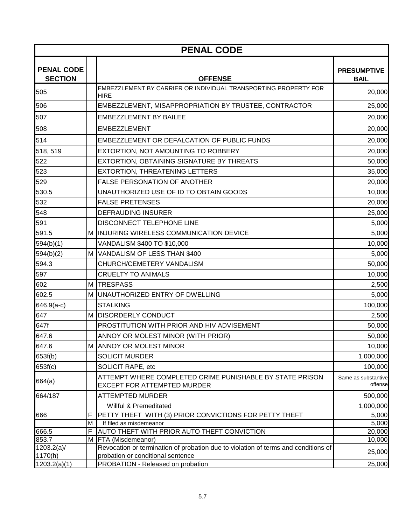| <b>PENAL CODE</b>                   |     |                                                                                                             |                                   |  |
|-------------------------------------|-----|-------------------------------------------------------------------------------------------------------------|-----------------------------------|--|
| <b>PENAL CODE</b><br><b>SECTION</b> |     | <b>OFFENSE</b>                                                                                              | <b>PRESUMPTIVE</b><br><b>BAIL</b> |  |
| 505                                 |     | EMBEZZLEMENT BY CARRIER OR INDIVIDUAL TRANSPORTING PROPERTY FOR<br><b>HIRE</b>                              | 20,000                            |  |
| 506                                 |     | EMBEZZLEMENT, MISAPPROPRIATION BY TRUSTEE, CONTRACTOR                                                       | 25,000                            |  |
| 507                                 |     | <b>EMBEZZLEMENT BY BAILEE</b>                                                                               | 20,000                            |  |
| 508                                 |     | <b>EMBEZZLEMENT</b>                                                                                         | 20,000                            |  |
| 514                                 |     | EMBEZZLEMENT OR DEFALCATION OF PUBLIC FUNDS                                                                 | 20,000                            |  |
| 518, 519                            |     | EXTORTION, NOT AMOUNTING TO ROBBERY                                                                         | 20,000                            |  |
| 522                                 |     | EXTORTION, OBTAINING SIGNATURE BY THREATS                                                                   | 50,000                            |  |
| 523                                 |     | <b>EXTORTION, THREATENING LETTERS</b>                                                                       | 35,000                            |  |
| 529                                 |     | <b>FALSE PERSONATION OF ANOTHER</b>                                                                         | 20,000                            |  |
| 530.5                               |     | UNAUTHORIZED USE OF ID TO OBTAIN GOODS                                                                      | 10,000                            |  |
| 532                                 |     | <b>FALSE PRETENSES</b>                                                                                      | 20,000                            |  |
| 548                                 |     | <b>DEFRAUDING INSURER</b>                                                                                   | 25,000                            |  |
| 591                                 |     | <b>DISCONNECT TELEPHONE LINE</b>                                                                            | 5,000                             |  |
| 591.5                               |     | M INJURING WIRELESS COMMUNICATION DEVICE                                                                    | 5,000                             |  |
| 594(b)(1)                           |     | VANDALISM \$400 TO \$10,000                                                                                 | 10,000                            |  |
| 594(b)(2)                           | M l | VANDALISM OF LESS THAN \$400                                                                                | 5,000                             |  |
| 594.3                               |     | CHURCH/CEMETERY VANDALISM                                                                                   | 50,000                            |  |
| 597                                 |     | <b>CRUELTY TO ANIMALS</b>                                                                                   | 10,000                            |  |
| 602                                 | М   | <b>TRESPASS</b>                                                                                             | 2,500                             |  |
| 602.5                               | M   | UNAUTHORIZED ENTRY OF DWELLING                                                                              | 5,000                             |  |
| 646.9(a-c)                          |     | <b>STALKING</b>                                                                                             | 100,000                           |  |
| 647                                 |     | M DISORDERLY CONDUCT                                                                                        | 2,500                             |  |
| 647f                                |     | PROSTITUTION WITH PRIOR AND HIV ADVISEMENT                                                                  | 50,000                            |  |
| 647.6                               |     | ANNOY OR MOLEST MINOR (WITH PRIOR)                                                                          | 50,000                            |  |
| 647.6                               |     | M ANNOY OR MOLEST MINOR                                                                                     | 10,000                            |  |
| 653f(b)                             |     | <b>SOLICIT MURDER</b>                                                                                       | 1,000,000                         |  |
| 653f(c)                             |     | SOLICIT RAPE, etc                                                                                           | 100,000                           |  |
| 664(a)                              |     | ATTEMPT WHERE COMPLETED CRIME PUNISHABLE BY STATE PRISON<br><b>EXCEPT FOR ATTEMPTED MURDER</b>              | Same as substantive<br>offense    |  |
| 664/187                             |     | ATTEMPTED MURDER                                                                                            | 500,000                           |  |
|                                     |     | Willful & Premeditated                                                                                      | 1,000,000                         |  |
| 666                                 |     | PETTY THEFT WITH (3) PRIOR CONVICTIONS FOR PETTY THEFT                                                      | 5,000                             |  |
|                                     | M   | If filed as misdemeanor                                                                                     | 5,000                             |  |
| 666.5<br>853.7                      |     | AUTO THEFT WITH PRIOR AUTO THEFT CONVICTION                                                                 | 20,000                            |  |
| 1203.2(a)                           |     | M   FTA (Misdemeanor)<br>Revocation or termination of probation due to violation of terms and conditions of | 10,000                            |  |
| 1170(h)                             |     | probation or conditional sentence                                                                           | 25,000                            |  |
| 1203.2(a)(1)                        |     | PROBATION - Released on probation                                                                           | $\overline{2}5,000$               |  |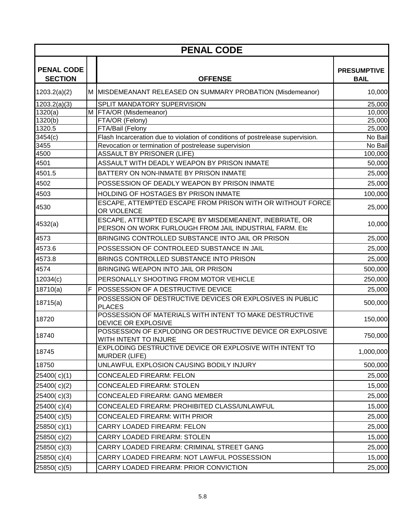| <b>PENAL CODE</b>                   |   |                                                                                                                   |                                   |  |
|-------------------------------------|---|-------------------------------------------------------------------------------------------------------------------|-----------------------------------|--|
| <b>PENAL CODE</b><br><b>SECTION</b> |   | <b>OFFENSE</b>                                                                                                    | <b>PRESUMPTIVE</b><br><b>BAIL</b> |  |
| 1203.2(a)(2)                        |   | M MISDEMEANANT RELEASED ON SUMMARY PROBATION (Misdemeanor)                                                        | 10,000                            |  |
| 1203.2(a)(3)                        |   | SPLIT MANDATORY SUPERVISION                                                                                       | 25,000                            |  |
| 1320(a)                             |   | M FTA/OR (Misdemeanor)                                                                                            | 10,000                            |  |
| 1320(b)                             |   | FTA/OR (Felony)                                                                                                   | 25,000                            |  |
| 1320.5                              |   | FTA/Bail (Felony                                                                                                  | 25,000                            |  |
| 3454(c)                             |   | Flash Incarceration due to violation of conditions of postrelease supervision.                                    | No Bail                           |  |
| 3455                                |   | Revocation or termination of postrelease supervision                                                              | No Bail                           |  |
| 4500<br>4501                        |   | <b>ASSAULT BY PRISONER (LIFE)</b><br>ASSAULT WITH DEADLY WEAPON BY PRISON INMATE                                  | 100,000                           |  |
|                                     |   |                                                                                                                   | 50,000                            |  |
| 4501.5                              |   | BATTERY ON NON-INMATE BY PRISON INMATE                                                                            | 25,000                            |  |
| 4502                                |   | POSSESSION OF DEADLY WEAPON BY PRISON INMATE                                                                      | 25,000                            |  |
| 4503                                |   | HOLDING OF HOSTAGES BY PRISON INMATE                                                                              | 100,000                           |  |
| 4530                                |   | ESCAPE, ATTEMPTED ESCAPE FROM PRISON WITH OR WITHOUT FORCE<br>OR VIOLENCE                                         | 25,000                            |  |
| 4532(a)                             |   | ESCAPE, ATTEMPTED ESCAPE BY MISDEMEANENT, INEBRIATE, OR<br>PERSON ON WORK FURLOUGH FROM JAIL INDUSTRIAL FARM. Etc | 10,000                            |  |
| 4573                                |   | BRINGING CONTROLLED SUBSTANCE INTO JAIL OR PRISON                                                                 | 25,000                            |  |
| 4573.6                              |   | POSSESSION OF CONTROLEED SUBSTANCE IN JAIL                                                                        | 25,000                            |  |
| 4573.8                              |   | BRINGS CONTROLLED SUBSTANCE INTO PRISON                                                                           | 25,000                            |  |
| 4574                                |   | BRINGING WEAPON INTO JAIL OR PRISON                                                                               | 500,000                           |  |
| 12034(c)                            |   | PERSONALLY SHOOTING FROM MOTOR VEHICLE                                                                            | 250,000                           |  |
| 18710(a)                            | F | POSSESSION OF A DESTRUCTIVE DEVICE                                                                                | 25,000                            |  |
| 18715(a)                            |   | POSSESSION OF DESTRUCTIVE DEVICES OR EXPLOSIVES IN PUBLIC<br><b>PLACES</b>                                        | 500,000                           |  |
| 18720                               |   | POSSESSION OF MATERIALS WITH INTENT TO MAKE DESTRUCTIVE<br><b>DEVICE OR EXPLOSIVE</b>                             | 150,000                           |  |
| 18740                               |   | POSSESSION OF EXPLODING OR DESTRUCTIVE DEVICE OR EXPLOSIVE<br>WITH INTENT TO INJURE                               | 750,000                           |  |
| 18745                               |   | EXPLODING DESTRUCTIVE DEVICE OR EXPLOSIVE WITH INTENT TO<br><b>MURDER (LIFE)</b>                                  | 1,000,000                         |  |
| 18750                               |   | UNLAWFUL EXPLOSION CAUSING BODILY INJURY                                                                          | 500,000                           |  |
| 25400(c)(1)                         |   | <b>CONCEALED FIREARM: FELON</b>                                                                                   | 25,000                            |  |
| 25400(c)(2)                         |   | <b>CONCEALED FIREARM: STOLEN</b>                                                                                  | 15,000                            |  |
| 25400(c)(3)                         |   | <b>CONCEALED FIREARM: GANG MEMBER</b>                                                                             | 25,000                            |  |
| 25400(c)(4)                         |   | CONCEALED FIREARM: PROHIBITED CLASS/UNLAWFUL                                                                      | 15,000                            |  |
| 25400(c)(5)                         |   | CONCEALED FIREARM: WITH PRIOR                                                                                     | 25,000                            |  |
| 25850(c)(1)                         |   | <b>CARRY LOADED FIREARM: FELON</b>                                                                                | 25,000                            |  |
| 25850(c)(2)                         |   | <b>CARRY LOADED FIREARM: STOLEN</b>                                                                               | 15,000                            |  |
| 25850(c)(3)                         |   | CARRY LOADED FIREARM: CRIMINAL STREET GANG                                                                        | 25,000                            |  |
| 25850(c)(4)                         |   | CARRY LOADED FIREARM: NOT LAWFUL POSSESSION                                                                       | 15,000                            |  |
| 25850(c)(5)                         |   | CARRY LOADED FIREARM: PRIOR CONVICTION                                                                            | 25,000                            |  |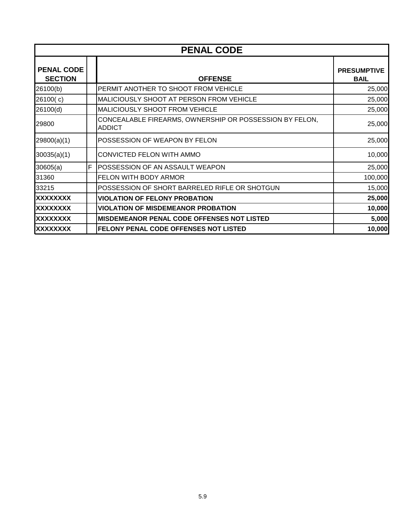| <b>PENAL CODE</b>                   |   |                                                                          |                                   |
|-------------------------------------|---|--------------------------------------------------------------------------|-----------------------------------|
| <b>PENAL CODE</b><br><b>SECTION</b> |   | <b>OFFENSE</b>                                                           | <b>PRESUMPTIVE</b><br><b>BAIL</b> |
| 26100(b)                            |   | PERMIT ANOTHER TO SHOOT FROM VEHICLE                                     | 25,000                            |
| 26100(c)                            |   | <b>MALICIOUSLY SHOOT AT PERSON FROM VEHICLE</b>                          | 25,000                            |
| 26100(d)                            |   | <b>MALICIOUSLY SHOOT FROM VEHICLE</b>                                    | 25,000                            |
| 29800                               |   | CONCEALABLE FIREARMS, OWNERSHIP OR POSSESSION BY FELON,<br><b>ADDICT</b> | 25,000                            |
| 29800(a)(1)                         |   | <b>POSSESSION OF WEAPON BY FELON</b>                                     | 25,000                            |
| 30035(a)(1)                         |   | CONVICTED FELON WITH AMMO                                                | 10,000                            |
| 30605(a)                            | F | POSSESSION OF AN ASSAULT WEAPON                                          | 25,000                            |
| 31360                               |   | <b>FELON WITH BODY ARMOR</b>                                             | 100,000                           |
| 33215                               |   | POSSESSION OF SHORT BARRELED RIFLE OR SHOTGUN                            | 15,000                            |
| XXXXXXXX                            |   | <b>VIOLATION OF FELONY PROBATION</b>                                     | 25,000                            |
| XXXXXXXX                            |   | <b>VIOLATION OF MISDEMEANOR PROBATION</b>                                | 10,000                            |
| XXXXXXXX                            |   | <b>MISDEMEANOR PENAL CODE OFFENSES NOT LISTED</b>                        | 5,000                             |
| <b>XXXXXXXX</b>                     |   | FELONY PENAL CODE OFFENSES NOT LISTED                                    | 10,000                            |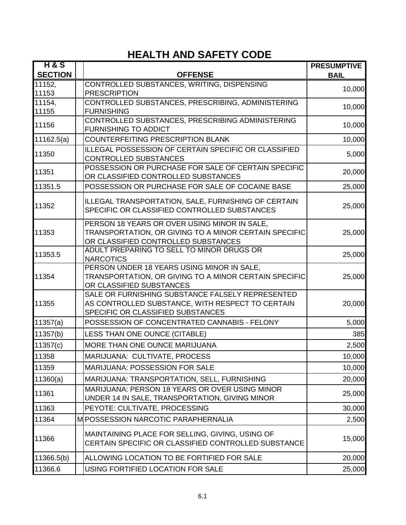### **HEALTH AND SAFETY CODE**

| <b>H&amp;S</b> |                                                                                                                                              | <b>PRESUMPTIVE</b> |
|----------------|----------------------------------------------------------------------------------------------------------------------------------------------|--------------------|
| <b>SECTION</b> | <b>OFFENSE</b>                                                                                                                               | <b>BAIL</b>        |
| 11152,         | CONTROLLED SUBSTANCES, WRITING, DISPENSING                                                                                                   | 10,000             |
| 11153          | <b>PRESCRIPTION</b>                                                                                                                          |                    |
| 11154,         | CONTROLLED SUBSTANCES, PRESCRIBING, ADMINISTERING                                                                                            | 10,000             |
| 11155          | <b>FURNISHING</b><br>CONTROLLED SUBSTANCES, PRESCRIBING ADMINISTERING                                                                        |                    |
| 11156          | <b>FURNISHING TO ADDICT</b>                                                                                                                  | 10,000             |
| 11162.5(a)     | <b>COUNTERFEITING PRESCRIPTION BLANK</b>                                                                                                     | 10,000             |
| 11350          | <b>ILLEGAL POSSESSION OF CERTAIN SPECIFIC OR CLASSIFIED</b><br><b>CONTROLLED SUBSTANCES</b>                                                  | 5,000              |
| 11351          | POSSESSION OR PURCHASE FOR SALE OF CERTAIN SPECIFIC<br>OR CLASSIFIED CONTROLLED SUBSTANCES                                                   | 20,000             |
| 11351.5        | POSSESSION OR PURCHASE FOR SALE OF COCAINE BASE                                                                                              | 25,000             |
| 11352          | ILLEGAL TRANSPORTATION, SALE, FURNISHING OF CERTAIN<br>SPECIFIC OR CLASSIFIED CONTROLLED SUBSTANCES                                          | 25,000             |
| 11353          | PERSON 18 YEARS OR OVER USING MINOR IN SALE,<br>TRANSPORTATION, OR GIVING TO A MINOR CERTAIN SPECIFIC<br>OR CLASSIFIED CONTROLLED SUBSTANCES | 25,000             |
| 11353.5        | ADULT PREPARING TO SELL TO MINOR DRUGS OR<br><b>NARCOTICS</b>                                                                                | 25,000             |
| 11354          | PERSON UNDER 18 YEARS USING MINOR IN SALE,<br>TRANSPORTATION, OR GIVING TO A MINOR CERTAIN SPECIFIC<br>OR CLASSIFIED SUBSTANCES              | 25,000             |
| 11355          | SALE OR FURNISHING SUBSTANCE FALSELY REPRESENTED<br>AS CONTROLLED SUBSTANCE, WITH RESPECT TO CERTAIN<br>SPECIFIC OR CLASSIFIED SUBSTANCES    | 20,000             |
| 11357(a)       | POSSESSION OF CONCENTRATED CANNABIS - FELONY                                                                                                 | 5,000              |
| 11357(b)       | LESS THAN ONE OUNCE (CITABLE)                                                                                                                | 385                |
| 11357(c)       | MORE THAN ONE OUNCE MARIJUANA                                                                                                                | 2,500              |
| 11358          | MARIJUANA: CULTIVATE, PROCESS                                                                                                                | 10,000             |
| 11359          | <b>MARIJUANA: POSSESSION FOR SALE</b>                                                                                                        | 10,000             |
| 11360(a)       | MARIJUANA: TRANSPORTATION, SELL, FURNISHING                                                                                                  | 20,000             |
| 11361          | MARIJUANA: PERSON 18 YEARS OR OVER USING MINOR<br>UNDER 14 IN SALE, TRANSPORTATION, GIVING MINOR                                             | 25,000             |
| 11363          | PEYOTE: CULTIVATE, PROCESSING                                                                                                                | 30,000             |
| 11364          | M POSSESSION NARCOTIC PARAPHERNALIA                                                                                                          | 2,500              |
| 11366          | MAINTAINING PLACE FOR SELLING, GIVING, USING OF<br>CERTAIN SPECIFIC OR CLASSIFIED CONTROLLED SUBSTANCE                                       | 15,000             |
| 11366.5(b)     | ALLOWING LOCATION TO BE FORTIFIED FOR SALE                                                                                                   | 20,000             |
| 11366.6        | USING FORTIFIED LOCATION FOR SALE                                                                                                            | 25,000             |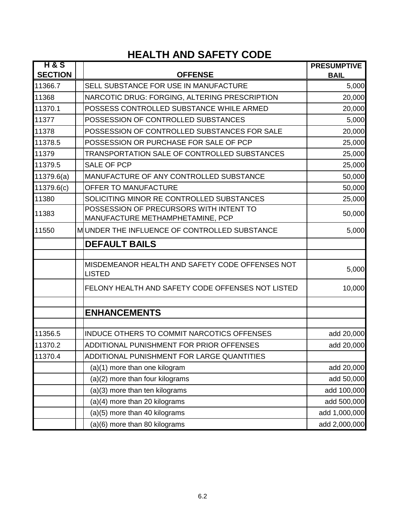### **HEALTH AND SAFETY CODE**

| <b>H&amp;S</b><br><b>SECTION</b> | <b>OFFENSE</b>                                                              | <b>PRESUMPTIVE</b><br><b>BAIL</b> |
|----------------------------------|-----------------------------------------------------------------------------|-----------------------------------|
| 11366.7                          | SELL SUBSTANCE FOR USE IN MANUFACTURE                                       | 5,000                             |
| 11368                            | NARCOTIC DRUG: FORGING, ALTERING PRESCRIPTION                               | 20,000                            |
| 11370.1                          | POSSESS CONTROLLED SUBSTANCE WHILE ARMED                                    | 20,000                            |
| 11377                            | POSSESSION OF CONTROLLED SUBSTANCES                                         | 5,000                             |
| 11378                            | POSSESSION OF CONTROLLED SUBSTANCES FOR SALE                                | 20,000                            |
| 11378.5                          | POSSESSION OR PURCHASE FOR SALE OF PCP                                      | 25,000                            |
| 11379                            | TRANSPORTATION SALE OF CONTROLLED SUBSTANCES                                | 25,000                            |
| 11379.5                          | <b>SALE OF PCP</b>                                                          | 25,000                            |
| 11379.6(a)                       | MANUFACTURE OF ANY CONTROLLED SUBSTANCE                                     | 50,000                            |
| 11379.6(c)                       | OFFER TO MANUFACTURE                                                        | 50,000                            |
| 11380                            | SOLICITING MINOR RE CONTROLLED SUBSTANCES                                   | 25,000                            |
| 11383                            | POSSESSION OF PRECURSORS WITH INTENT TO<br>MANUFACTURE METHAMPHETAMINE, PCP | 50,000                            |
| 11550                            | MUNDER THE INFLUENCE OF CONTROLLED SUBSTANCE                                | 5,000                             |
|                                  | <b>DEFAULT BAILS</b>                                                        |                                   |
|                                  |                                                                             |                                   |
|                                  | MISDEMEANOR HEALTH AND SAFETY CODE OFFENSES NOT<br><b>LISTED</b>            | 5,000                             |
|                                  | FELONY HEALTH AND SAFETY CODE OFFENSES NOT LISTED                           | 10,000                            |
|                                  | <b>ENHANCEMENTS</b>                                                         |                                   |
|                                  |                                                                             |                                   |
| 11356.5                          | <b>INDUCE OTHERS TO COMMIT NARCOTICS OFFENSES</b>                           | add 20,000                        |
| 11370.2                          | ADDITIONAL PUNISHMENT FOR PRIOR OFFENSES                                    | add 20,000                        |
| 11370.4                          | ADDITIONAL PUNISHMENT FOR LARGE QUANTITIES                                  |                                   |
|                                  | (a)(1) more than one kilogram                                               | add 20,000                        |
|                                  | (a)(2) more than four kilograms                                             | add 50,000                        |
|                                  | (a)(3) more than ten kilograms                                              | add 100,000                       |
|                                  | (a)(4) more than 20 kilograms                                               | add 500,000                       |
|                                  | (a)(5) more than 40 kilograms                                               | add 1,000,000                     |
|                                  | (a)(6) more than 80 kilograms                                               | add 2,000,000                     |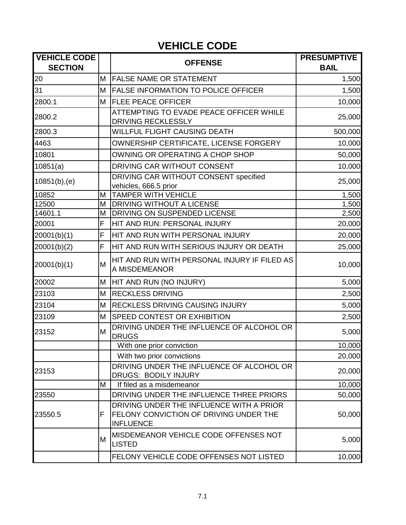# **VEHICLE CODE**

| <b>VEHICLE CODE</b><br><b>SECTION</b> |    | <b>OFFENSE</b>                                                                                                | <b>PRESUMPTIVE</b><br><b>BAIL</b> |
|---------------------------------------|----|---------------------------------------------------------------------------------------------------------------|-----------------------------------|
| 20                                    | М  | <b>FALSE NAME OR STATEMENT</b>                                                                                | 1,500                             |
| 31                                    | M  | <b>FALSE INFORMATION TO POLICE OFFICER</b>                                                                    | 1,500                             |
| 2800.1                                | M  | <b>FLEE PEACE OFFICER</b>                                                                                     | 10,000                            |
| 2800.2                                |    | ATTEMPTING TO EVADE PEACE OFFICER WHILE<br><b>DRIVING RECKLESSLY</b>                                          | 25,000                            |
| 2800.3                                |    | WILLFUL FLIGHT CAUSING DEATH                                                                                  | 500,000                           |
| 4463                                  |    | OWNERSHIP CERTIFICATE, LICENSE FORGERY                                                                        | 10,000                            |
| 10801                                 |    | OWNING OR OPERATING A CHOP SHOP                                                                               | 50,000                            |
| 10851(a)                              |    | DRIVING CAR WITHOUT CONSENT                                                                                   | 10,000                            |
| 10851(b), (e)                         |    | DRIVING CAR WITHOUT CONSENT specified<br>vehicles, 666.5 prior                                                | 25,000                            |
| 10852                                 | M  | <b>TAMPER WITH VEHICLE</b>                                                                                    | 1,500                             |
| 12500                                 | M  | <b>DRIVING WITHOUT A LICENSE</b>                                                                              | 1,500                             |
| 14601.1                               | M  | DRIVING ON SUSPENDED LICENSE                                                                                  | 2,500                             |
| 20001                                 | F  | HIT AND RUN: PERSONAL INJURY                                                                                  | 20,000                            |
| 20001(b)(1)                           | F  | HIT AND RUN WITH PERSONAL INJURY                                                                              | 20,000                            |
| 20001(b)(2)                           | F  | HIT AND RUN WITH SERIOUS INJURY OR DEATH                                                                      | 25,000                            |
| 20001(b)(1)                           | M  | HIT AND RUN WITH PERSONAL INJURY IF FILED AS<br>A MISDEMEANOR                                                 | 10,000                            |
| 20002                                 | Μ  | HIT AND RUN (NO INJURY)                                                                                       | 5,000                             |
| 23103                                 | M  | <b>RECKLESS DRIVING</b>                                                                                       | 2,500                             |
| 23104                                 | M  | <b>RECKLESS DRIVING CAUSING INJURY</b>                                                                        | 5,000                             |
| 23109                                 | M  | SPEED CONTEST OR EXHIBITION                                                                                   | 2,500                             |
| 23152                                 | M  | DRIVING UNDER THE INFLUENCE OF ALCOHOL OR<br><b>DRUGS</b>                                                     | 5,000                             |
|                                       |    | With one prior conviction                                                                                     | 10,000                            |
|                                       |    | With two prior convictions                                                                                    | 20,000                            |
| 23153                                 |    | DRIVING UNDER THE INFLUENCE OF ALCOHOL OR<br><b>DRUGS: BODILY INJURY</b>                                      | 20,000                            |
|                                       | M  | If filed as a misdemeanor                                                                                     | 10,000                            |
| 23550                                 |    | DRIVING UNDER THE INFLUENCE THREE PRIORS                                                                      | 50,000                            |
| 23550.5                               | F. | DRIVING UNDER THE INFLUENCE WITH A PRIOR<br><b>FELONY CONVICTION OF DRIVING UNDER THE</b><br><b>INFLUENCE</b> | 50,000                            |
|                                       | M  | MISDEMEANOR VEHICLE CODE OFFENSES NOT<br><b>LISTED</b>                                                        | 5,000                             |
|                                       |    | FELONY VEHICLE CODE OFFENSES NOT LISTED                                                                       | 10,000                            |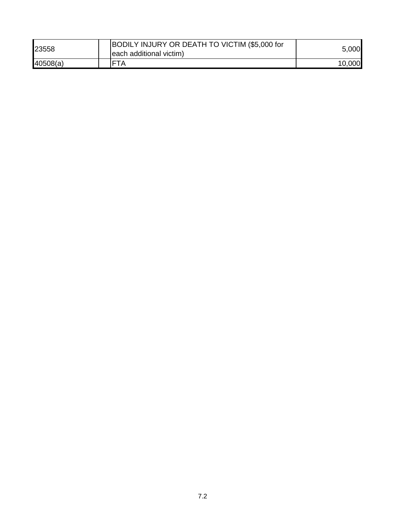| 23558    | BODILY INJURY OR DEATH TO VICTIM (\$5,000 for<br>each additional victim) | 5,000  |
|----------|--------------------------------------------------------------------------|--------|
| 40508(a) | $\overline{A}$                                                           | 10,000 |